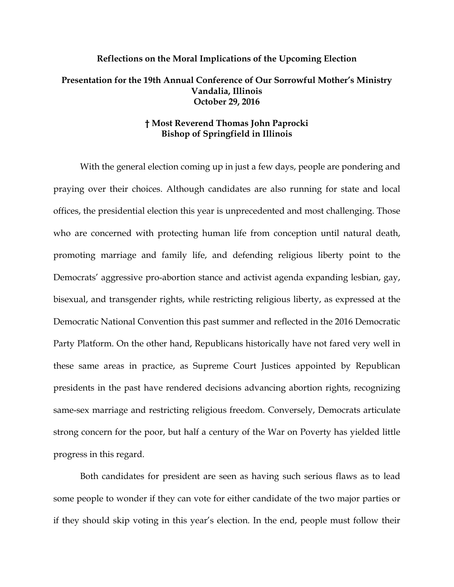## **Reflections on the Moral Implications of the Upcoming Election Presentation for the 19th Annual Conference of Our Sorrowful Mother's Ministry Vandalia, Illinois October 29, 2016**

## **† Most Reverend Thomas John Paprocki Bishop of Springfield in Illinois**

With the general election coming up in just a few days, people are pondering and praying over their choices. Although candidates are also running for state and local offices, the presidential election this year is unprecedented and most challenging. Those who are concerned with protecting human life from conception until natural death, promoting marriage and family life, and defending religious liberty point to the Democrats' aggressive pro-abortion stance and activist agenda expanding lesbian, gay, bisexual, and transgender rights, while restricting religious liberty, as expressed at the Democratic National Convention this past summer and reflected in the 2016 Democratic Party Platform. On the other hand, Republicans historically have not fared very well in these same areas in practice, as Supreme Court Justices appointed by Republican presidents in the past have rendered decisions advancing abortion rights, recognizing same-sex marriage and restricting religious freedom. Conversely, Democrats articulate strong concern for the poor, but half a century of the War on Poverty has yielded little progress in this regard.

Both candidates for president are seen as having such serious flaws as to lead some people to wonder if they can vote for either candidate of the two major parties or if they should skip voting in this year's election. In the end, people must follow their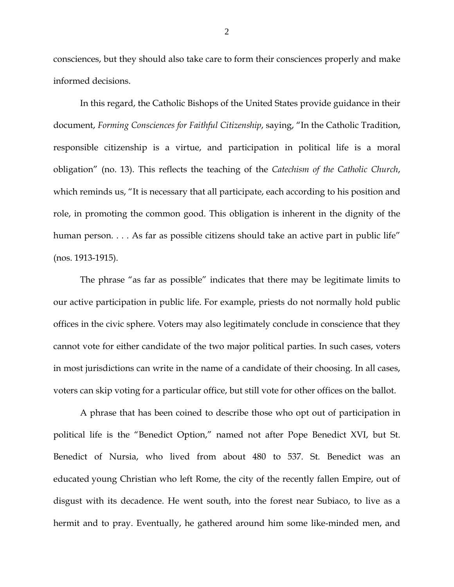consciences, but they should also take care to form their consciences properly and make informed decisions.

In this regard, the Catholic Bishops of the United States provide guidance in their document, *Forming Consciences for Faithful Citizenship*, saying, "In the Catholic Tradition, responsible citizenship is a virtue, and participation in political life is a moral obligation" (no. 13). This reflects the teaching of the *Catechism of the Catholic Church*, which reminds us, "It is necessary that all participate, each according to his position and role, in promoting the common good. This obligation is inherent in the dignity of the human person. . . . As far as possible citizens should take an active part in public life" (nos. 1913-1915).

The phrase "as far as possible" indicates that there may be legitimate limits to our active participation in public life. For example, priests do not normally hold public offices in the civic sphere. Voters may also legitimately conclude in conscience that they cannot vote for either candidate of the two major political parties. In such cases, voters in most jurisdictions can write in the name of a candidate of their choosing. In all cases, voters can skip voting for a particular office, but still vote for other offices on the ballot.

A phrase that has been coined to describe those who opt out of participation in political life is the "Benedict Option," named not after Pope Benedict XVI, but St. Benedict of Nursia, who lived from about 480 to 537. St. Benedict was an educated young Christian who left Rome, the city of the recently fallen Empire, out of disgust with its decadence. He went south, into the forest near Subiaco, to live as a hermit and to pray. Eventually, he gathered around him some like-minded men, and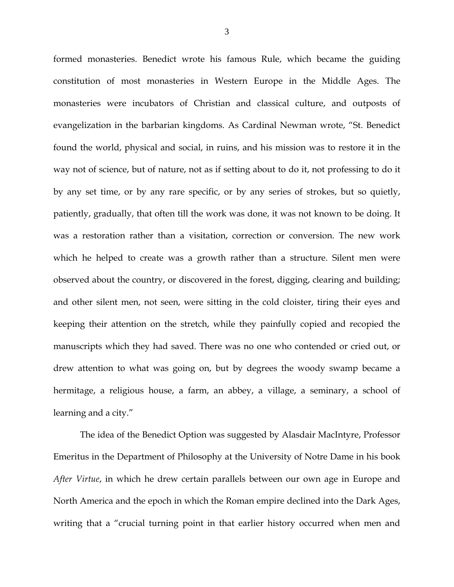formed monasteries. Benedict wrote his famous Rule, which became the guiding constitution of most monasteries in Western Europe in the Middle Ages. The monasteries were incubators of Christian and classical culture, and outposts of evangelization in the barbarian kingdoms. As Cardinal Newman wrote, "St. Benedict found the world, physical and social, in ruins, and his mission was to restore it in the way not of science, but of nature, not as if setting about to do it, not professing to do it by any set time, or by any rare specific, or by any series of strokes, but so quietly, patiently, gradually, that often till the work was done, it was not known to be doing. It was a restoration rather than a visitation, correction or conversion. The new work which he helped to create was a growth rather than a structure. Silent men were observed about the country, or discovered in the forest, digging, clearing and building; and other silent men, not seen, were sitting in the cold cloister, tiring their eyes and keeping their attention on the stretch, while they painfully copied and recopied the manuscripts which they had saved. There was no one who contended or cried out, or drew attention to what was going on, but by degrees the woody swamp became a hermitage, a religious house, a farm, an abbey, a village, a seminary, a school of learning and a city."

The idea of the Benedict Option was suggested by Alasdair MacIntyre, Professor Emeritus in the Department of Philosophy at the University of Notre Dame in his book *After Virtue*, in which he drew certain parallels between our own age in Europe and North America and the epoch in which the Roman empire declined into the Dark Ages, writing that a "crucial turning point in that earlier history occurred when men and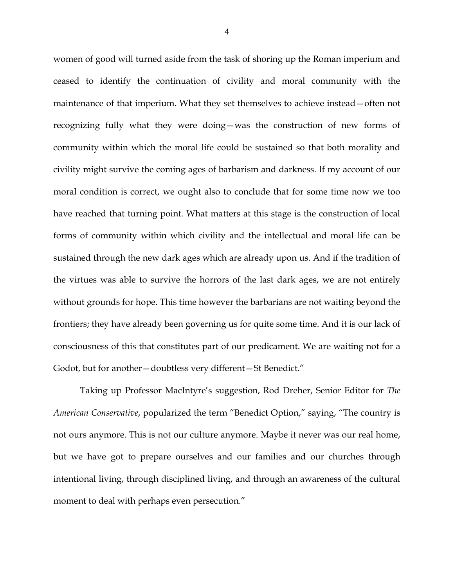women of good will turned aside from the task of shoring up the Roman imperium and ceased to identify the continuation of civility and moral community with the maintenance of that imperium. What they set themselves to achieve instead—often not recognizing fully what they were doing—was the construction of new forms of community within which the moral life could be sustained so that both morality and civility might survive the coming ages of barbarism and darkness. If my account of our moral condition is correct, we ought also to conclude that for some time now we too have reached that turning point. What matters at this stage is the construction of local forms of community within which civility and the intellectual and moral life can be sustained through the new dark ages which are already upon us. And if the tradition of the virtues was able to survive the horrors of the last dark ages, we are not entirely without grounds for hope. This time however the barbarians are not waiting beyond the frontiers; they have already been governing us for quite some time. And it is our lack of consciousness of this that constitutes part of our predicament. We are waiting not for a Godot, but for another—doubtless very different—St Benedict."

Taking up Professor MacIntyre's suggestion, Rod Dreher, Senior Editor for *The American Conservative*, popularized the term "Benedict Option," saying, "The country is not ours anymore. This is not our culture anymore. Maybe it never was our real home, but we have got to prepare ourselves and our families and our churches through intentional living, through disciplined living, and through an awareness of the cultural moment to deal with perhaps even persecution."

4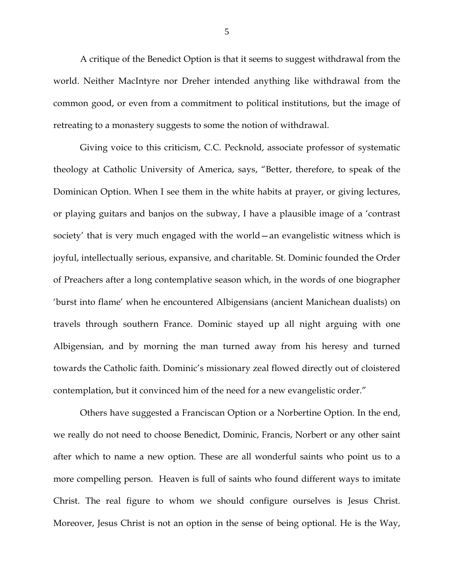A critique of the Benedict Option is that it seems to suggest withdrawal from the world. Neither MacIntyre nor Dreher intended anything like withdrawal from the common good, or even from a commitment to political institutions, but the image of retreating to a monastery suggests to some the notion of withdrawal.

Giving voice to this criticism, C.C. Pecknold, associate professor of systematic theology at Catholic University of America, says, "Better, therefore, to speak of the Dominican Option. When I see them in the white habits at prayer, or giving lectures, or playing guitars and banjos on the subway, I have a plausible image of a 'contrast society' that is very much engaged with the world—an evangelistic witness which is joyful, intellectually serious, expansive, and charitable. St. Dominic founded the Order of Preachers after a long contemplative season which, in the words of one biographer 'burst into flame' when he encountered Albigensians (ancient Manichean dualists) on travels through southern France. Dominic stayed up all night arguing with one Albigensian, and by morning the man turned away from his heresy and turned towards the Catholic faith. Dominic's missionary zeal flowed directly out of cloistered contemplation, but it convinced him of the need for a new evangelistic order."

Others have suggested a Franciscan Option or a Norbertine Option. In the end, we really do not need to choose Benedict, Dominic, Francis, Norbert or any other saint after which to name a new option. These are all wonderful saints who point us to a more compelling person. Heaven is full of saints who found different ways to imitate Christ. The real figure to whom we should configure ourselves is Jesus Christ. Moreover, Jesus Christ is not an option in the sense of being optional. He is the Way,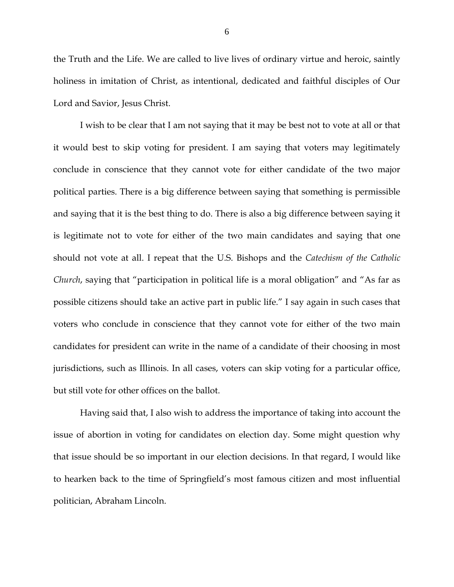the Truth and the Life. We are called to live lives of ordinary virtue and heroic, saintly holiness in imitation of Christ, as intentional, dedicated and faithful disciples of Our Lord and Savior, Jesus Christ.

I wish to be clear that I am not saying that it may be best not to vote at all or that it would best to skip voting for president. I am saying that voters may legitimately conclude in conscience that they cannot vote for either candidate of the two major political parties. There is a big difference between saying that something is permissible and saying that it is the best thing to do. There is also a big difference between saying it is legitimate not to vote for either of the two main candidates and saying that one should not vote at all. I repeat that the U.S. Bishops and the *Catechism of the Catholic Church*, saying that "participation in political life is a moral obligation" and "As far as possible citizens should take an active part in public life." I say again in such cases that voters who conclude in conscience that they cannot vote for either of the two main candidates for president can write in the name of a candidate of their choosing in most jurisdictions, such as Illinois. In all cases, voters can skip voting for a particular office, but still vote for other offices on the ballot.

Having said that, I also wish to address the importance of taking into account the issue of abortion in voting for candidates on election day. Some might question why that issue should be so important in our election decisions. In that regard, I would like to hearken back to the time of Springfield's most famous citizen and most influential politician, Abraham Lincoln.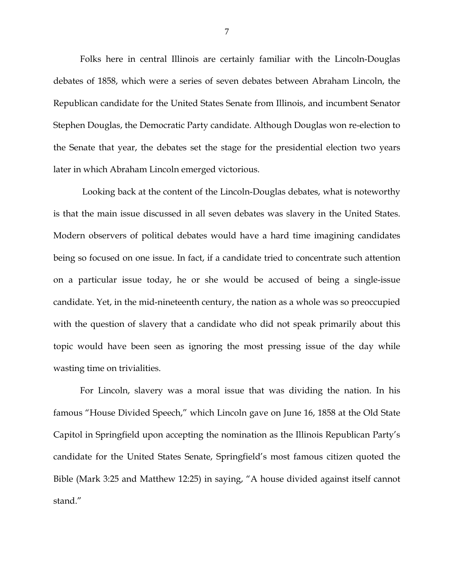Folks here in central Illinois are certainly familiar with the Lincoln-Douglas debates of 1858, which were a series of seven debates between Abraham Lincoln, the Republican candidate for the United States Senate from Illinois, and incumbent Senator Stephen Douglas, the Democratic Party candidate. Although Douglas won re-election to the Senate that year, the debates set the stage for the presidential election two years later in which Abraham Lincoln emerged victorious.

Looking back at the content of the Lincoln-Douglas debates, what is noteworthy is that the main issue discussed in all seven debates was slavery in the United States. Modern observers of political debates would have a hard time imagining candidates being so focused on one issue. In fact, if a candidate tried to concentrate such attention on a particular issue today, he or she would be accused of being a single-issue candidate. Yet, in the mid-nineteenth century, the nation as a whole was so preoccupied with the question of slavery that a candidate who did not speak primarily about this topic would have been seen as ignoring the most pressing issue of the day while wasting time on trivialities.

For Lincoln, slavery was a moral issue that was dividing the nation. In his famous "House Divided Speech," which Lincoln gave on June 16, 1858 at the Old State Capitol in Springfield upon accepting the nomination as the Illinois Republican Party's candidate for the United States Senate, Springfield's most famous citizen quoted the Bible (Mark 3:25 and Matthew 12:25) in saying, "A house divided against itself cannot stand."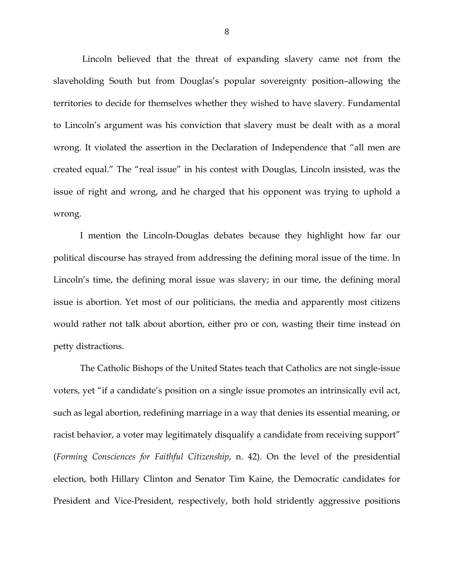Lincoln believed that the threat of expanding slavery came not from the slaveholding South but from Douglas's popular sovereignty position–allowing the territories to decide for themselves whether they wished to have slavery. Fundamental to Lincoln's argument was his conviction that slavery must be dealt with as a moral wrong. It violated the assertion in the Declaration of Independence that "all men are created equal." The "real issue" in his contest with Douglas, Lincoln insisted, was the issue of right and wrong, and he charged that his opponent was trying to uphold a wrong.

I mention the Lincoln-Douglas debates because they highlight how far our political discourse has strayed from addressing the defining moral issue of the time. In Lincoln's time, the defining moral issue was slavery; in our time, the defining moral issue is abortion. Yet most of our politicians, the media and apparently most citizens would rather not talk about abortion, either pro or con, wasting their time instead on petty distractions.

The Catholic Bishops of the United States teach that Catholics are not single-issue voters, yet "if a candidate's position on a single issue promotes an intrinsically evil act, such as legal abortion, redefining marriage in a way that denies its essential meaning, or racist behavior, a voter may legitimately disqualify a candidate from receiving support" (*Forming Consciences for Faithful Citizenship*, n. 42). On the level of the presidential election, both Hillary Clinton and Senator Tim Kaine, the Democratic candidates for President and Vice-President, respectively, both hold stridently aggressive positions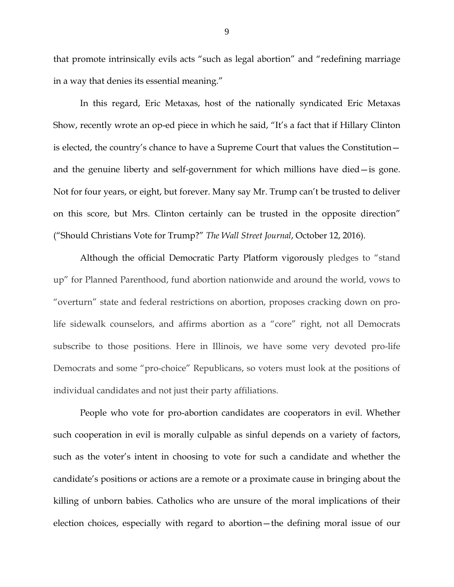that promote intrinsically evils acts "such as legal abortion" and "redefining marriage in a way that denies its essential meaning."

In this regard, Eric Metaxas, host of the nationally syndicated Eric Metaxas Show, recently wrote an op-ed piece in which he said, "It's a fact that if Hillary Clinton is elected, the country's chance to have a Supreme Court that values the Constitution and the genuine liberty and self-government for which millions have died—is gone. Not for four years, or eight, but forever. Many say Mr. Trump can't be trusted to deliver on this score, but Mrs. Clinton certainly can be trusted in the opposite direction" ("Should Christians Vote for Trump?" *The Wall Street Journal*, October 12, 2016).

Although the official Democratic Party Platform vigorously pledges to "stand up" for Planned Parenthood, fund abortion nationwide and around the world, vows to "overturn" state and federal restrictions on abortion, proposes cracking down on prolife sidewalk counselors, and affirms abortion as a "core" right, not all Democrats subscribe to those positions. Here in Illinois, we have some very devoted pro-life Democrats and some "pro-choice" Republicans, so voters must look at the positions of individual candidates and not just their party affiliations.

People who vote for pro-abortion candidates are cooperators in evil. Whether such cooperation in evil is morally culpable as sinful depends on a variety of factors, such as the voter's intent in choosing to vote for such a candidate and whether the candidate's positions or actions are a remote or a proximate cause in bringing about the killing of unborn babies. Catholics who are unsure of the moral implications of their election choices, especially with regard to abortion—the defining moral issue of our